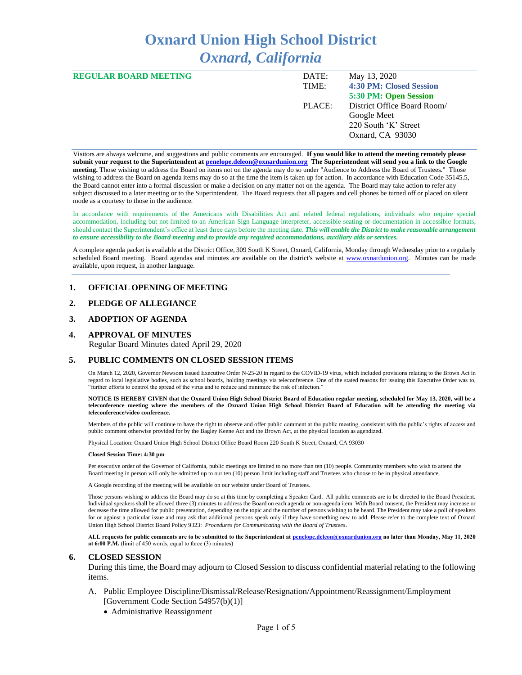# **Oxnard Union High School District** *Oxnard, California*

| <b>REGULAR BOARD MEETING</b> | DATE:  | May 13, 2020                |
|------------------------------|--------|-----------------------------|
|                              | TIME:  | 4:30 PM: Closed Session     |
|                              |        | 5:30 PM: Open Session       |
|                              | PLACE: | District Office Board Room/ |
|                              |        | Google Meet                 |
|                              |        | 220 South 'K' Street        |
|                              |        | Oxnard, CA 93030            |
|                              |        |                             |

Visitors are always welcome, and suggestions and public comments are encouraged. **If you would like to attend the meeting remotely please submit your request to the Superintendent at [penelope.deleon@oxnardunion.org](mailto:penelope.deleon@oxnardunion.org) The Superintendent will send you a link to the Google meeting.** Those wishing to address the Board on items not on the agenda may do so under "Audience to Address the Board of Trustees." Those wishing to address the Board on agenda items may do so at the time the item is taken up for action. In accordance with Education Code 35145.5, the Board cannot enter into a formal discussion or make a decision on any matter not on the agenda. The Board may take action to refer any subject discussed to a later meeting or to the Superintendent. The Board requests that all pagers and cell phones be turned off or placed on silent mode as a courtesy to those in the audience.

In accordance with requirements of the Americans with Disabilities Act and related federal regulations, individuals who require special accommodation, including but not limited to an American Sign Language interpreter, accessible seating or documentation in accessible formats, should contact the Superintendent's office at least three days before the meeting date. *This will enable the District to make reasonable arrangement to ensure accessibility to the Board meeting and to provide any required accommodations, auxiliary aids or services.*

A complete agenda packet is available at the District Office, 309 South K Street, Oxnard, California, Monday through Wednesday prior to a regularly scheduled Board meeting. Board agendas and minutes are available on the district's website at [www.ox](http://www.o/)nardunion.org. Minutes can be made available, upon request, in another language.

#### **1. OFFICIAL OPENING OF MEETING**

#### **2. PLEDGE OF ALLEGIANCE**

#### **3. ADOPTION OF AGENDA**

#### **4. APPROVAL OF MINUTES**

Regular Board Minutes dated April 29, 2020

#### **5. PUBLIC COMMENTS ON CLOSED SESSION ITEMS**

On March 12, 2020, Governor Newsom issued Executive Order N-25-20 in regard to the COVID-19 virus, which included provisions relating to the Brown Act in regard to local legislative bodies, such as school boards, holding meetings via teleconference. One of the stated reasons for issuing this Executive Order was to, "further efforts to control the spread of the virus and to reduce and minimize the risk of infection."

**NOTICE IS HEREBY GIVEN that the Oxnard Union High School District Board of Education regular meeting, scheduled for May 13, 2020, will be a teleconference meeting where the members of the Oxnard Union High School District Board of Education will be attending the meeting via teleconference/video conference.**

Members of the public will continue to have the right to observe and offer public comment at the public meeting, consistent with the public's rights of access and public comment otherwise provided for by the Bagley Keene Act and the Brown Act, at the physical location as agendized.

Physical Location: Oxnard Union High School District Office Board Room 220 South K Street, Oxnard, CA 93030

#### **Closed Session Time: 4:30 pm**

Per executive order of the Governor of California, public meetings are limited to no more than ten (10) people. Community members who wish to attend the Board meeting in person will only be admitted up to our ten (10) person limit including staff and Trustees who choose to be in physical attendance.

A Google recording of the meeting will be available on our website under Board of Trustees.

Those persons wishing to address the Board may do so at this time by completing a Speaker Card. All public comments are to be directed to the Board President. Individual speakers shall be allowed three (3) minutes to address the Board on each agenda or non-agenda item. With Board consent, the President may increase or decrease the time allowed for public presentation, depending on the topic and the number of persons wishing to be heard. The President may take a poll of speakers for or against a particular issue and may ask that additional persons speak only if they have something new to add. Please refer to the complete text of Oxnard Union High School District Board Policy 9323: *Procedures for Communicating with the Board of Trustees*.

**ALL requests for public comments are to be submitted to the Superintendent at [penelope.deleon@oxnardunion.org](mailto:penelope.deleon@oxnardunion.org.%20no) no later than Monday, May 11, 2020 at 6:00 P.M.** (limit of 450 words, equal to three (3) minutes)

#### **6. CLOSED SESSION**

During this time, the Board may adjourn to Closed Session to discuss confidential material relating to the following items.

- A. Public Employee Discipline/Dismissal/Release/Resignation/Appointment/Reassignment/Employment [Government Code Section 54957(b)(1)]
	- Administrative Reassignment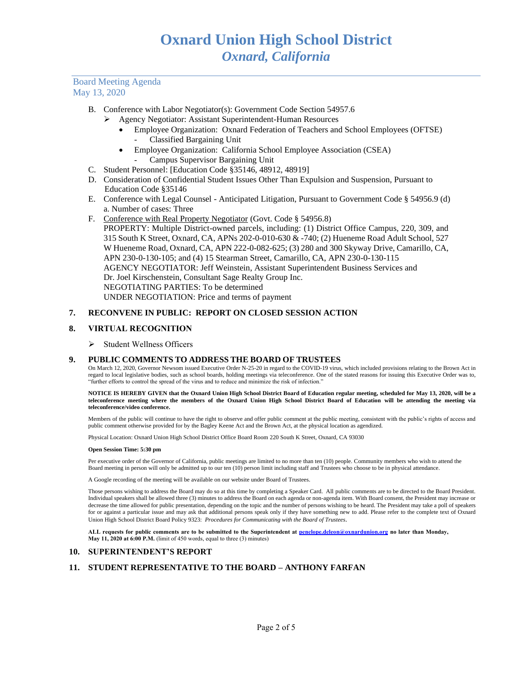- B. Conference with Labor Negotiator(s): Government Code Section 54957.6
	- ➢ Agency Negotiator: Assistant Superintendent-Human Resources
		- Employee Organization: Oxnard Federation of Teachers and School Employees (OFTSE) - Classified Bargaining Unit
		- Employee Organization: California School Employee Association (CSEA) - Campus Supervisor Bargaining Unit
- C. Student Personnel: [Education Code §35146, 48912, 48919]
- D. Consideration of Confidential Student Issues Other Than Expulsion and Suspension, Pursuant to Education Code §35146
- E. Conference with Legal Counsel Anticipated Litigation, Pursuant to Government Code § 54956.9 (d) a. Number of cases: Three
- F. Conference with Real Property Negotiator (Govt. Code § 54956.8) PROPERTY: Multiple District-owned parcels, including: (1) District Office Campus, 220, 309, and 315 South K Street, Oxnard, CA, APNs 202-0-010-630 & -740; (2) Hueneme Road Adult School, 527 W Hueneme Road, Oxnard, CA, APN 222-0-082-625; (3) 280 and 300 Skyway Drive, Camarillo, CA, APN 230-0-130-105; and (4) 15 Stearman Street, Camarillo, CA, APN 230-0-130-115 AGENCY NEGOTIATOR: Jeff Weinstein, Assistant Superintendent Business Services and Dr. Joel Kirschenstein, Consultant Sage Realty Group Inc. NEGOTIATING PARTIES: To be determined UNDER NEGOTIATION: Price and terms of payment

#### **7. RECONVENE IN PUBLIC: REPORT ON CLOSED SESSION ACTION**

#### **8. VIRTUAL RECOGNITION**

#### ➢ Student Wellness Officers

#### **9. PUBLIC COMMENTS TO ADDRESS THE BOARD OF TRUSTEES**

On March 12, 2020, Governor Newsom issued Executive Order N-25-20 in regard to the COVID-19 virus, which included provisions relating to the Brown Act in regard to local legislative bodies, such as school boards, holding meetings via teleconference. One of the stated reasons for issuing this Executive Order was to, "further efforts to control the spread of the virus and to reduce and minimize the risk of infection."

**NOTICE IS HEREBY GIVEN that the Oxnard Union High School District Board of Education regular meeting, scheduled for May 13, 2020, will be a teleconference meeting where the members of the Oxnard Union High School District Board of Education will be attending the meeting via teleconference/video conference.**

Members of the public will continue to have the right to observe and offer public comment at the public meeting, consistent with the public's rights of access and public comment otherwise provided for by the Bagley Keene Act and the Brown Act, at the physical location as agendized.

Physical Location: Oxnard Union High School District Office Board Room 220 South K Street, Oxnard, CA 93030

#### **Open Session Time: 5:30 pm**

Per executive order of the Governor of California, public meetings are limited to no more than ten (10) people. Community members who wish to attend the Board meeting in person will only be admitted up to our ten (10) person limit including staff and Trustees who choose to be in physical attendance.

A Google recording of the meeting will be available on our website under Board of Trustees.

Those persons wishing to address the Board may do so at this time by completing a Speaker Card. All public comments are to be directed to the Board President. Individual speakers shall be allowed three (3) minutes to address the Board on each agenda or non-agenda item. With Board consent, the President may increase or decrease the time allowed for public presentation, depending on the topic and the number of persons wishing to be heard. The President may take a poll of speakers for or against a particular issue and may ask that additional persons speak only if they have something new to add. Please refer to the complete text of Oxnard Union High School District Board Policy 9323: *Procedures for Communicating with the Board of Trustees*.

**ALL requests for public comments are to be submitted to the Superintendent at [penelope.deleon@oxnardunion.org](mailto:penelope.deleon@oxnardunion.org.%20no) no later than Monday, May 11, 2020 at 6:00 P.M.** (limit of 450 words, equal to three (3) minutes)

#### **10. SUPERINTENDENT'S REPORT**

## **11. STUDENT REPRESENTATIVE TO THE BOARD – ANTHONY FARFAN**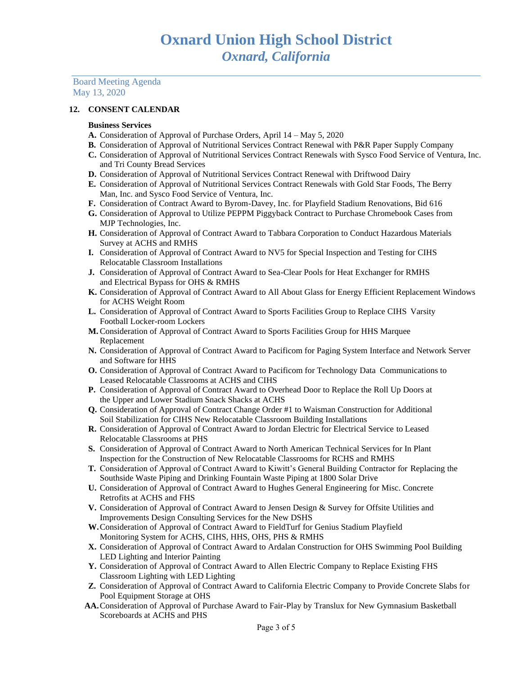## **12. CONSENT CALENDAR**

#### **Business Services**

- **A.** Consideration of Approval of Purchase Orders, April 14 May 5, 2020
- **B.** Consideration of Approval of Nutritional Services Contract Renewal with P&R Paper Supply Company
- **C.** Consideration of Approval of Nutritional Services Contract Renewals with Sysco Food Service of Ventura, Inc. and Tri County Bread Services
- **D.** Consideration of Approval of Nutritional Services Contract Renewal with Driftwood Dairy
- **E.** Consideration of Approval of Nutritional Services Contract Renewals with Gold Star Foods, The Berry Man, Inc. and Sysco Food Service of Ventura, Inc.
- **F.** Consideration of Contract Award to Byrom-Davey, Inc. for Playfield Stadium Renovations, Bid 616
- **G.** Consideration of Approval to Utilize PEPPM Piggyback Contract to Purchase Chromebook Cases from MJP Technologies, Inc.
- **H.** Consideration of Approval of Contract Award to Tabbara Corporation to Conduct Hazardous Materials Survey at ACHS and RMHS
- **I.** Consideration of Approval of Contract Award to NV5 for Special Inspection and Testing for CIHS Relocatable Classroom Installations
- **J.** Consideration of Approval of Contract Award to Sea-Clear Pools for Heat Exchanger for RMHS and Electrical Bypass for OHS & RMHS
- **K.** Consideration of Approval of Contract Award to All About Glass for Energy Efficient Replacement Windows for ACHS Weight Room
- **L.** Consideration of Approval of Contract Award to Sports Facilities Group to Replace CIHS Varsity Football Locker-room Lockers
- **M.** Consideration of Approval of Contract Award to Sports Facilities Group for HHS Marquee Replacement
- **N.** Consideration of Approval of Contract Award to Pacificom for Paging System Interface and Network Server and Software for HHS
- **O.** Consideration of Approval of Contract Award to Pacificom for Technology Data Communications to Leased Relocatable Classrooms at ACHS and CIHS
- **P.** Consideration of Approval of Contract Award to Overhead Door to Replace the Roll Up Doors at the Upper and Lower Stadium Snack Shacks at ACHS
- **Q.** Consideration of Approval of Contract Change Order #1 to Waisman Construction for Additional Soil Stabilization for CIHS New Relocatable Classroom Building Installations
- **R.** Consideration of Approval of Contract Award to Jordan Electric for Electrical Service to Leased Relocatable Classrooms at PHS
- **S.** Consideration of Approval of Contract Award to North American Technical Services for In Plant Inspection for the Construction of New Relocatable Classrooms for RCHS and RMHS
- **T.** Consideration of Approval of Contract Award to Kiwitt's General Building Contractor for Replacing the Southside Waste Piping and Drinking Fountain Waste Piping at 1800 Solar Drive
- **U.** Consideration of Approval of Contract Award to Hughes General Engineering for Misc. Concrete Retrofits at ACHS and FHS
- **V.** Consideration of Approval of Contract Award to Jensen Design & Survey for Offsite Utilities and Improvements Design Consulting Services for the New DSHS
- **W.**Consideration of Approval of Contract Award to FieldTurf for Genius Stadium Playfield Monitoring System for ACHS, CIHS, HHS, OHS, PHS & RMHS
- **X.** Consideration of Approval of Contract Award to Ardalan Construction for OHS Swimming Pool Building LED Lighting and Interior Painting
- **Y.** Consideration of Approval of Contract Award to Allen Electric Company to Replace Existing FHS Classroom Lighting with LED Lighting
- **Z.** Consideration of Approval of Contract Award to California Electric Company to Provide Concrete Slabs for Pool Equipment Storage at OHS
- **AA.**Consideration of Approval of Purchase Award to Fair-Play by Translux for New Gymnasium Basketball Scoreboards at ACHS and PHS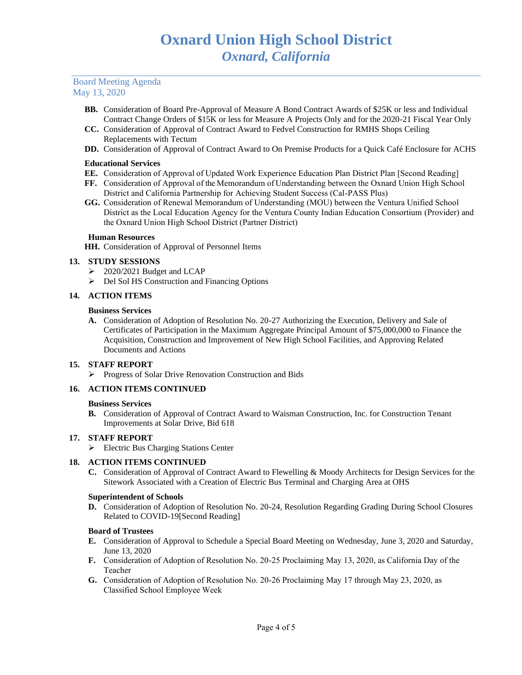- **BB.** Consideration of Board Pre-Approval of Measure A Bond Contract Awards of \$25K or less and Individual Contract Change Orders of \$15K or less for Measure A Projects Only and for the 2020-21 Fiscal Year Only
- **CC.** Consideration of Approval of Contract Award to Fedvel Construction for RMHS Shops Ceiling Replacements with Tectum
- **DD.** Consideration of Approval of Contract Award to On Premise Products for a Quick Café Enclosure for ACHS

#### **Educational Services**

- **EE.** Consideration of Approval of Updated Work Experience Education Plan District Plan [Second Reading]
- **FF.** Consideration of Approval of the Memorandum of Understanding between the Oxnard Union High School District and California Partnership for Achieving Student Success (Cal-PASS Plus)
- **GG.** Consideration of Renewal Memorandum of Understanding (MOU) between the Ventura Unified School District as the Local Education Agency for the Ventura County Indian Education Consortium (Provider) and the Oxnard Union High School District (Partner District)

## **Human Resources**

**HH.** Consideration of Approval of Personnel Items

## **13. STUDY SESSIONS**

- ➢ 2020/2021 Budget and LCAP
- ➢ Del Sol HS Construction and Financing Options

#### **14. ACTION ITEMS**

#### **Business Services**

**A.** Consideration of Adoption of Resolution No. 20-27 Authorizing the Execution, Delivery and Sale of Certificates of Participation in the Maximum Aggregate Principal Amount of \$75,000,000 to Finance the Acquisition, Construction and Improvement of New High School Facilities, and Approving Related Documents and Actions

## **15. STAFF REPORT**

➢ Progress of Solar Drive Renovation Construction and Bids

## **16. ACTION ITEMS CONTINUED**

#### **Business Services**

**B.** Consideration of Approval of Contract Award to Waisman Construction, Inc. for Construction Tenant Improvements at Solar Drive, Bid 618

## **17. STAFF REPORT**

➢ Electric Bus Charging Stations Center

## **18. ACTION ITEMS CONTINUED**

**C.** Consideration of Approval of Contract Award to Flewelling & Moody Architects for Design Services for the Sitework Associated with a Creation of Electric Bus Terminal and Charging Area at OHS

#### **Superintendent of Schools**

**D.** Consideration of Adoption of Resolution No. 20-24, Resolution Regarding Grading During School Closures Related to COVID-19[Second Reading]

#### **Board of Trustees**

- **E.** Consideration of Approval to Schedule a Special Board Meeting on Wednesday, June 3, 2020 and Saturday, June 13, 2020
- **F.** Consideration of Adoption of Resolution No. 20-25 Proclaiming May 13, 2020, as California Day of the Teacher
- **G.** Consideration of Adoption of Resolution No. 20-26 Proclaiming May 17 through May 23, 2020, as Classified School Employee Week